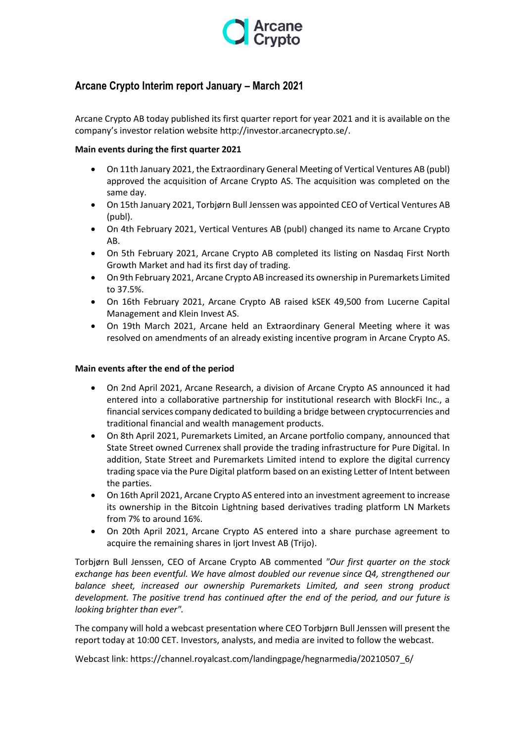

# **Arcane Crypto Interim report January – March 2021**

Arcane Crypto AB today published its first quarter report for year 2021 and it is available on the company's investor relation website http://investor.arcanecrypto.se/.

# **Main events during the first quarter 2021**

- On 11th January 2021, the Extraordinary General Meeting of Vertical Ventures AB (publ) approved the acquisition of Arcane Crypto AS. The acquisition was completed on the same day.
- On 15th January 2021, Torbjørn Bull Jenssen was appointed CEO of Vertical Ventures AB (publ).
- On 4th February 2021, Vertical Ventures AB (publ) changed its name to Arcane Crypto AB.
- On 5th February 2021, Arcane Crypto AB completed its listing on Nasdaq First North Growth Market and had its first day of trading.
- On 9th February 2021, Arcane Crypto AB increased its ownership in Puremarkets Limited to 37.5%.
- On 16th February 2021, Arcane Crypto AB raised kSEK 49,500 from Lucerne Capital Management and Klein Invest AS.
- On 19th March 2021, Arcane held an Extraordinary General Meeting where it was resolved on amendments of an already existing incentive program in Arcane Crypto AS.

## **Main events after the end of the period**

- On 2nd April 2021, Arcane Research, a division of Arcane Crypto AS announced it had entered into a collaborative partnership for institutional research with BlockFi Inc., a financial services company dedicated to building a bridge between cryptocurrencies and traditional financial and wealth management products.
- On 8th April 2021, Puremarkets Limited, an Arcane portfolio company, announced that State Street owned Currenex shall provide the trading infrastructure for Pure Digital. In addition, State Street and Puremarkets Limited intend to explore the digital currency trading space via the Pure Digital platform based on an existing Letter of Intent between the parties.
- On 16th April 2021, Arcane Crypto AS entered into an investment agreement to increase its ownership in the Bitcoin Lightning based derivatives trading platform LN Markets from 7% to around 16%.
- On 20th April 2021, Arcane Crypto AS entered into a share purchase agreement to acquire the remaining shares in Ijort Invest AB (Trijo).

Torbjørn Bull Jenssen, CEO of Arcane Crypto AB commented *"Our first quarter on the stock exchange has been eventful. We have almost doubled our revenue since Q4, strengthened our balance sheet, increased our ownership Puremarkets Limited, and seen strong product development. The positive trend has continued after the end of the period, and our future is looking brighter than ever".*

The company will hold a webcast presentation where CEO Torbjørn Bull Jenssen will present the report today at 10:00 CET. Investors, analysts, and media are invited to follow the webcast.

Webcast link: https://channel.royalcast.com/landingpage/hegnarmedia/20210507\_6/